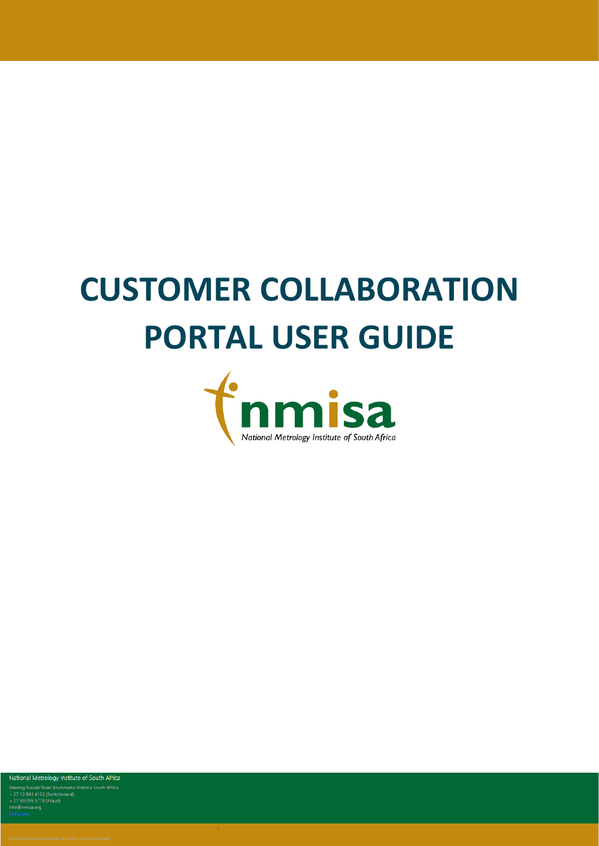# **CUSTOMER COLLABORATION PORTAL USER GUIDE**



National Metrology Institute of South Africa Meiring Naudé Road Brunneria Pretoria South Africa<br>+ 27 12 841 4152 (Switchboard)<br>+ 27 12 841 4152 (Switchboard)<br>+ 27 80 055 5778 (Fraud)<br>info@nmisa.org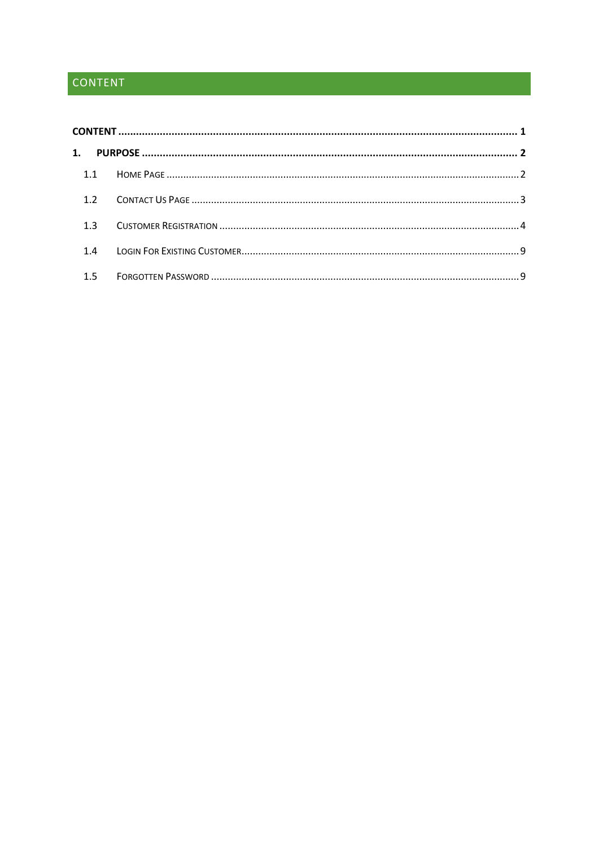# <span id="page-1-0"></span>CONTENT

| 1. |     |  |  |  |  |
|----|-----|--|--|--|--|
|    |     |  |  |  |  |
|    | 1.2 |  |  |  |  |
|    | 1.3 |  |  |  |  |
|    | 1.4 |  |  |  |  |
|    | 1.5 |  |  |  |  |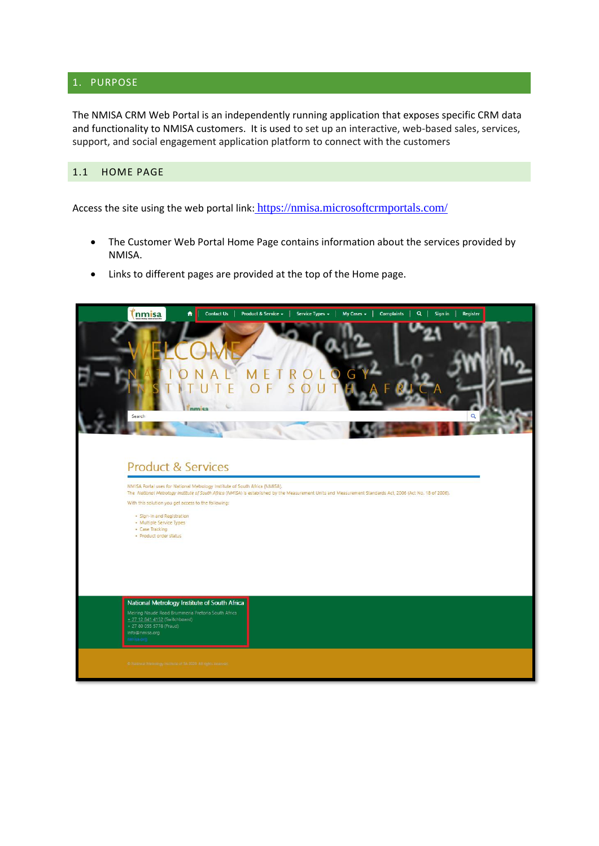#### <span id="page-2-0"></span>1. PURPOSE

The NMISA CRM Web Portal is an independently running application that exposes specific CRM data and functionality to NMISA customers. It is used to set up an interactive, web-based sales, services, support, and social engagement application platform to connect with the customers

## <span id="page-2-1"></span>1.1 HOME PAGE

Access the site using the web portal link: <https://nmisa.microsoftcrmportals.com/>

- The Customer Web Portal Home Page contains information about the services provided by NMISA.
- Links to different pages are provided at the top of the Home page.

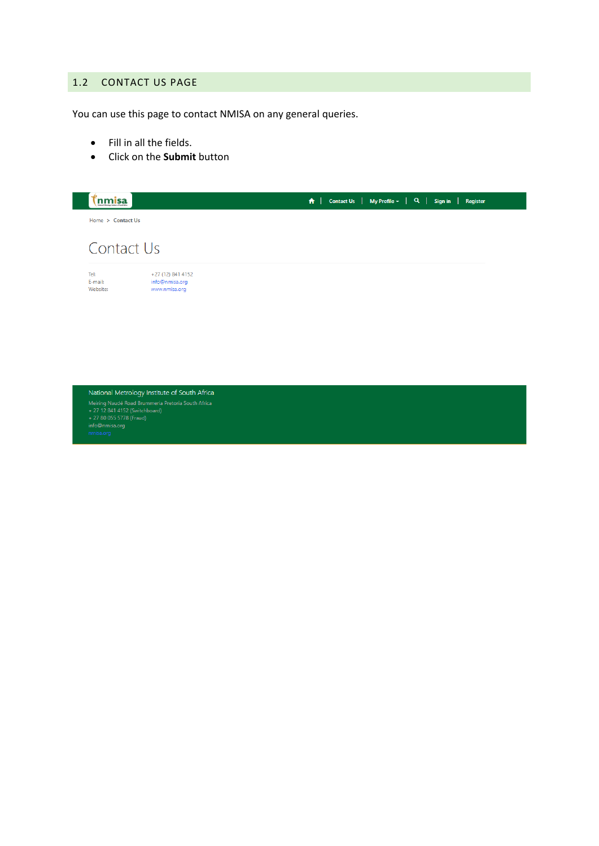#### <span id="page-3-0"></span>1.2 CONTACT US PAGE

You can use this page to contact NMISA on any general queries.

- Fill in all the fields.
- Click on the **Submit** button



National Metrology Institute of South Africa The control of the Marine Christmas Pretoria South Africa<br>
Meiring Naudé Road Brummeria Pretoria South Africa<br>
+ 27 12 841 4152 (Switchboard)<br>
info@nmisa.org<br>
info@nmisa.org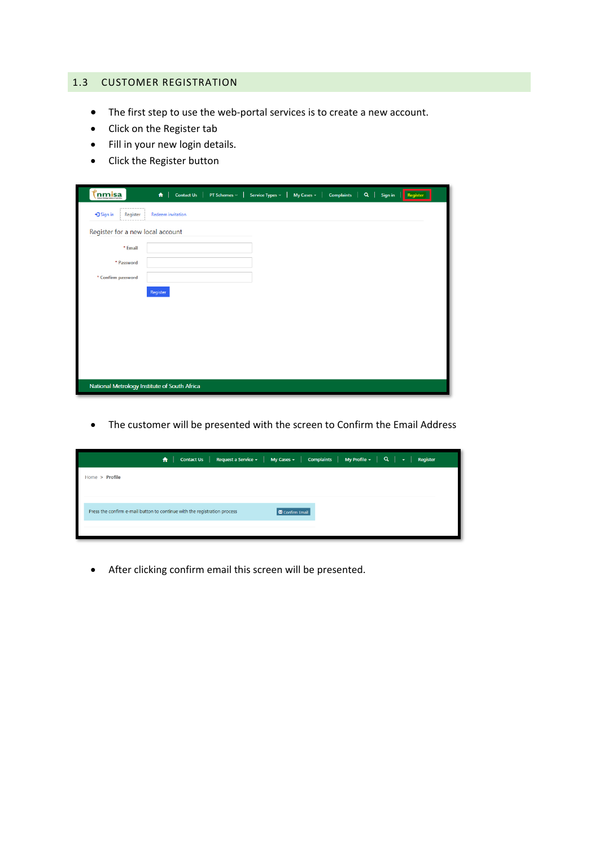#### <span id="page-4-0"></span>1.3 CUSTOMER REGISTRATION

- The first step to use the web-portal services is to create a new account.
- Click on the Register tab
- Fill in your new login details.
- Click the Register button

| <b>inmisa</b>                    | Contact Us   PT Schemes v  <br><b>Complaints</b><br>$\uparrow$<br>Service Types v   My Cases +<br>$Q \mid$<br>Register<br>Sign in |
|----------------------------------|-----------------------------------------------------------------------------------------------------------------------------------|
| +3 Sign in<br>Register           | <b>Redeem</b> invitation                                                                                                          |
| Register for a new local account |                                                                                                                                   |
| * Email                          |                                                                                                                                   |
| * Password                       |                                                                                                                                   |
| * Confirm password               |                                                                                                                                   |
|                                  | Register                                                                                                                          |
|                                  |                                                                                                                                   |
|                                  |                                                                                                                                   |
|                                  |                                                                                                                                   |
|                                  |                                                                                                                                   |
|                                  |                                                                                                                                   |
|                                  | National Metrology Institute of South Africa                                                                                      |

• The customer will be presented with the screen to Confirm the Email Address

|                                                                           | <b>A</b>   Contact Us   Request a Service $\star$   My Cases $\star$   Complaints   My Profile $\star$   Q   $\star$  <br>Register |
|---------------------------------------------------------------------------|------------------------------------------------------------------------------------------------------------------------------------|
| Home > Profile                                                            |                                                                                                                                    |
|                                                                           |                                                                                                                                    |
| Press the confirm e-mail button to continue with the registration process | Confirm Email                                                                                                                      |
|                                                                           |                                                                                                                                    |

• After clicking confirm email this screen will be presented.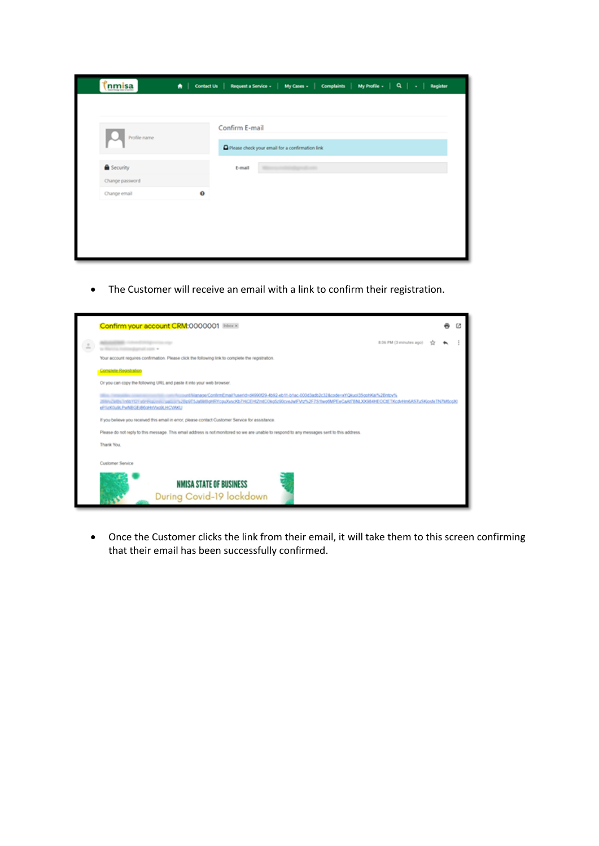| Profile name      |          | Confirm E-mail |                                                 |                   |  |
|-------------------|----------|----------------|-------------------------------------------------|-------------------|--|
|                   |          |                | Please check your email for a confirmation link |                   |  |
| <b>B</b> Security |          | E-mail         |                                                 | <b>STATISTICS</b> |  |
| Change password   |          |                |                                                 |                   |  |
| Change email      | $\Omega$ |                |                                                 |                   |  |
|                   |          |                |                                                 |                   |  |

• The Customer will receive an email with a link to confirm their registration.



• Once the Customer clicks the link from their email, it will take them to this screen confirming that their email has been successfully confirmed.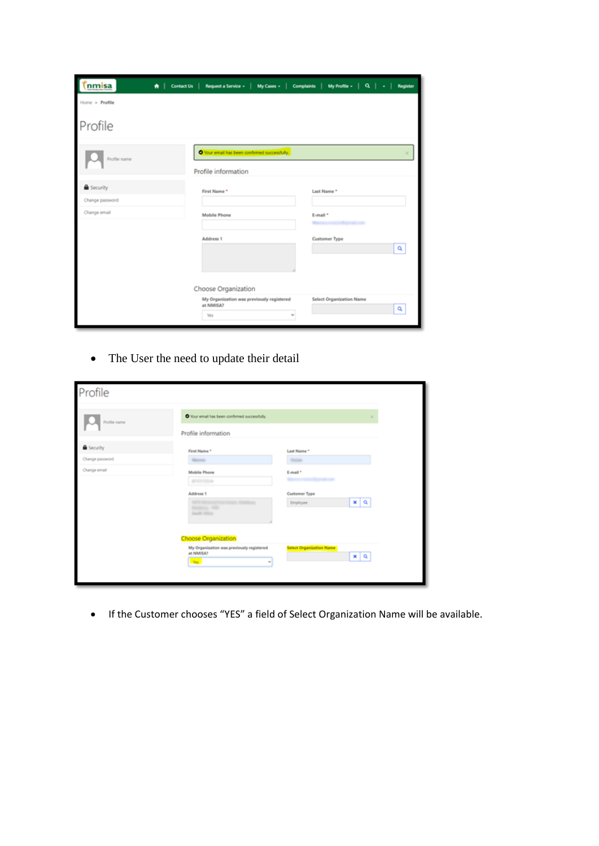| nmisa                                | ★   Contact Us   Request a Service -   My Cases -   Complaints   My Profile -   Q.   -   Register |                                      |
|--------------------------------------|---------------------------------------------------------------------------------------------------|--------------------------------------|
| Home > Profile                       |                                                                                                   |                                      |
| Profile                              |                                                                                                   |                                      |
| Profile name                         | O Your email has been confirmed successfully.<br>Profile information                              |                                      |
| <b>B</b> Security<br>Change password | First Name*                                                                                       | Last Name*                           |
| Change email                         | <b>Mobile Phone</b>                                                                               | E-mail *                             |
|                                      | Address 1                                                                                         | <b>Customer Type</b><br>Q            |
|                                      | Choose Organization                                                                               |                                      |
|                                      | My Organization was previously registered<br>at NMISA?<br>Yes                                     | <b>Select Organization Name</b><br>۹ |

• The User the need to update their detail

| Profile           |                                                                                                       |                                                    |
|-------------------|-------------------------------------------------------------------------------------------------------|----------------------------------------------------|
| Profile name      | O Your email has been confirmed successfully.                                                         | ×                                                  |
|                   | Profile information                                                                                   |                                                    |
| <b>B</b> Security | First Name *                                                                                          | Last Name *                                        |
| Change password   | <b>Warranty</b>                                                                                       | <b>STAND</b>                                       |
| Change email      | Mobile Phone<br>grounds at                                                                            | E-mail *<br>m                                      |
|                   | Address 1<br>Analysis 1980<br>South Africa                                                            | Customer Type<br><b>x</b> q<br>Employee            |
|                   | Choose Organization<br>My Organization was previously registered<br>at NMISA?<br>Ves.<br>$\mathbf{w}$ | <b>Select Organization Name</b><br>$x \mid \alpha$ |

• If the Customer chooses "YES" a field of Select Organization Name will be available.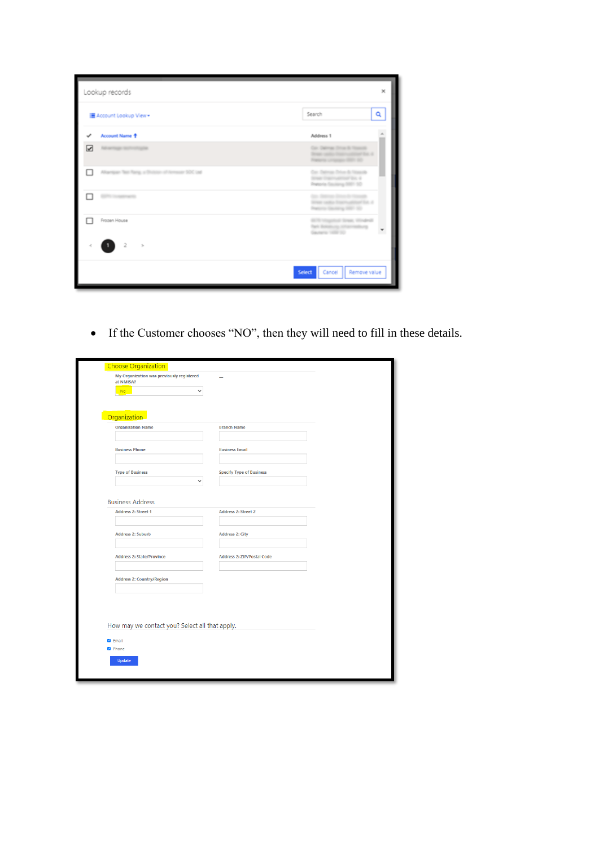| Lookup records |                                                   |                                                                                          |   |  |
|----------------|---------------------------------------------------|------------------------------------------------------------------------------------------|---|--|
|                | Account Lookup View -                             | Search                                                                                   | Q |  |
| ✓              | Account Name <sup>+</sup>                         | Address 1                                                                                |   |  |
| ☑              | Advertising derivating in                         | Car, Dalmas Drive & Hospital<br>from sales framewheat for 4<br>February London (St.) 123 |   |  |
| п              | Allumpun Test Rang, a Division of Armson SOC Ltd. | Day Datman Drive & Newsalk<br>Street Copyrightfood Big 4<br>Pretoria Gauliera 5001 50    |   |  |
|                | To competitions                                   | by Billing Black House<br>ter sails from added for 4<br>with the distance of the court   |   |  |
|                | Frozen House                                      | BTR vingered Street, Woutroll<br>Park Boltzkurg, Alframmediung<br>Gazero 109 10          |   |  |
|                | $\overline{2}$<br>$\geq$                          |                                                                                          |   |  |
|                |                                                   | <b>Select</b><br>Cancel<br>Remove value                                                  |   |  |

• If the Customer chooses "NO", then they will need to fill in these details.

| <b>Choose Organization</b>                             |                                   |
|--------------------------------------------------------|-----------------------------------|
| My Organization was previously registered<br>at NMISA? |                                   |
| No.<br>$\checkmark$                                    |                                   |
|                                                        |                                   |
|                                                        |                                   |
| Organization                                           |                                   |
| <b>Organization Name</b>                               | <b>Branch Name</b>                |
|                                                        |                                   |
| <b>Business Phone</b>                                  | <b>Business Email</b>             |
|                                                        |                                   |
|                                                        |                                   |
| <b>Type of Business</b>                                | <b>Specify Type of Business</b>   |
| $\checkmark$                                           |                                   |
|                                                        |                                   |
| <b>Business Address</b>                                |                                   |
| <b>Address 2: Street 1</b>                             | <b>Address 2: Street 2</b>        |
|                                                        |                                   |
|                                                        |                                   |
| <b>Address 2: Suburb</b>                               | <b>Address 2: City</b>            |
|                                                        |                                   |
| <b>Address 2: State/Province</b>                       | <b>Address 2: ZIP/Postal Code</b> |
|                                                        |                                   |
| <b>Address 2: Country/Region</b>                       |                                   |
|                                                        |                                   |
|                                                        |                                   |
|                                                        |                                   |
|                                                        |                                   |
|                                                        |                                   |
| How may we contact you? Select all that apply.         |                                   |
| <b>Z</b> Email                                         |                                   |
| 2 Phone                                                |                                   |
|                                                        |                                   |
|                                                        |                                   |
| Update                                                 |                                   |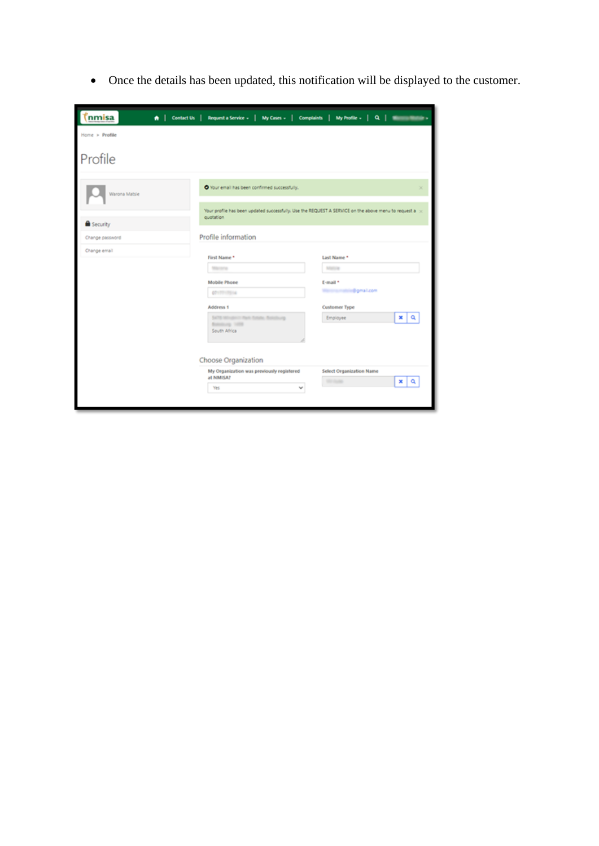• Once the details has been updated, this notification will be displayed to the customer.

| nmisa<br>$\bigwedge$ $\big $ Contact Us $\big $ | Request a Service -   My Cases -   Complaints   My Profile -   Q                                                     |                                             |
|-------------------------------------------------|----------------------------------------------------------------------------------------------------------------------|---------------------------------------------|
| Home > Profile                                  |                                                                                                                      |                                             |
| Profile                                         |                                                                                                                      |                                             |
| Warona Matsie                                   | O Your email has been confirmed successfully.                                                                        |                                             |
| <b>B</b> Security                               | Your profile has been updated successfully. Use the REQUEST A SERVICE on the above menu to request a xx<br>quotation |                                             |
| Change password                                 | Profile information                                                                                                  |                                             |
| Change email                                    | First Name *<br>Marine<br><b>Mobile Phone</b>                                                                        | Last Name *<br>Manuta<br>E-mail *           |
|                                                 | 0717717514<br><b>Address 1</b>                                                                                       | <b>Illional.com</b><br><b>Customer Type</b> |
|                                                 | \$478 Mindmitt Red School Bolisburg<br><b>Billion or 1979</b><br>South Africa                                        | ×∣<br>Q<br>Employee                         |
|                                                 | Choose Organization                                                                                                  |                                             |
|                                                 | My Organization was previously registered<br>at NMISA?                                                               | <b>Select Organization Name</b><br>۰<br>×   |
|                                                 | Yes<br>ш                                                                                                             |                                             |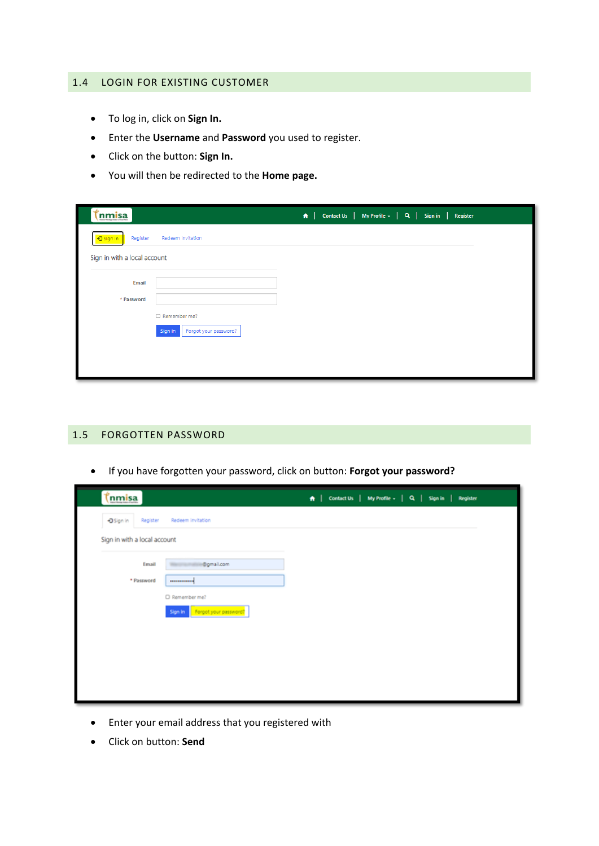#### <span id="page-9-0"></span>1.4 LOGIN FOR EXISTING CUSTOMER

- To log in, click on **Sign In.**
- Enter the **Username** and **Password** you used to register.
- Click on the button: **Sign In.**
- You will then be redirected to the **Home page.**

| nmisa                        |                                  | A   Contact Us   My Profile -   Q   Sign in   Register |  |
|------------------------------|----------------------------------|--------------------------------------------------------|--|
| +3 Sign in<br>Register       | Redeem invitation                |                                                        |  |
| Sign in with a local account |                                  |                                                        |  |
| <b>Email</b>                 |                                  |                                                        |  |
| * Password                   |                                  |                                                        |  |
|                              | $\Box$ Remember me?              |                                                        |  |
|                              | Sign in<br>Forgot your password? |                                                        |  |
|                              |                                  |                                                        |  |
|                              |                                  |                                                        |  |
|                              |                                  |                                                        |  |

## <span id="page-9-1"></span>1.5 FORGOTTEN PASSWORD

• If you have forgotten your password, click on button: **Forgot your password?**

| <u>(İnmisa</u>               |                               | A   Contact Us   My Profile -   Q   Sign in   Register |
|------------------------------|-------------------------------|--------------------------------------------------------|
| DSign in<br>Register         | Redeem invitation             |                                                        |
| Sign in with a local account |                               |                                                        |
| Email                        | i@gmail.com                   |                                                        |
| * Password                   |                               |                                                        |
|                              | O Remember me?                |                                                        |
|                              | Sign in Forgot your password? |                                                        |
|                              |                               |                                                        |
|                              |                               |                                                        |
|                              |                               |                                                        |
|                              |                               |                                                        |
|                              |                               |                                                        |

- Enter your email address that you registered with
- Click on button: **Send**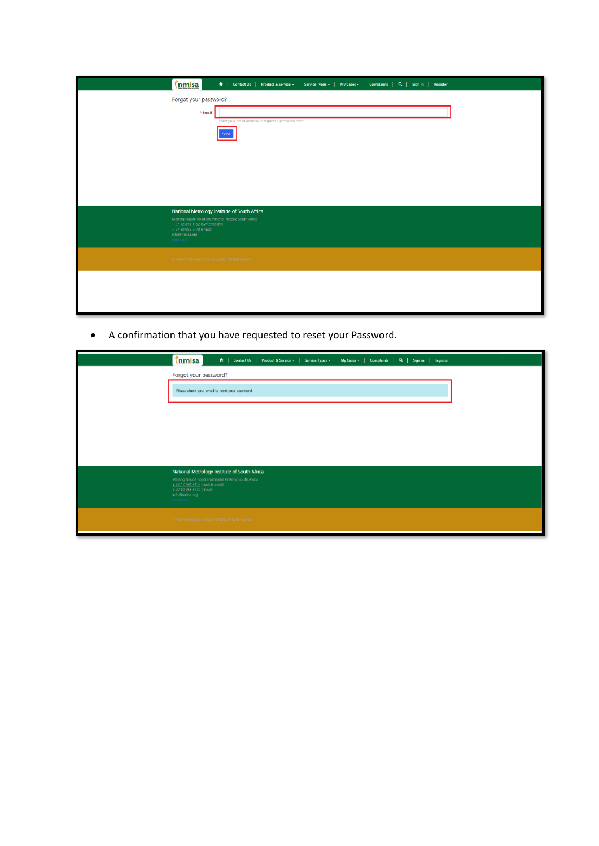| tnmisa                                                  | A   Contact Us   Product & Service +   Service Types +   My Cases +   Complaints   Q   Sign in   Register                                                                                               |
|---------------------------------------------------------|---------------------------------------------------------------------------------------------------------------------------------------------------------------------------------------------------------|
|                                                         | Forgot your password?<br>* Email<br>Enter your email address to request a password reset.<br>Send                                                                                                       |
| + 27 80 055 5778 (Fraud)<br>info@nmisa.org<br>nmisa.org | National Metrology Institute of South Africa<br>Meiring Naudé Road Brummeria Pretoria South Africa<br>+ 27 12 841 4152 (Switchboard)<br>O National Metrology Institute of SA 2020. All rights reserved. |
|                                                         |                                                                                                                                                                                                         |

• A confirmation that you have requested to reset your Password.

| A   Contact Us   Product & Service +   Service Types +   My Cases +   Complaints   Q   Sign in   Register<br><u>(nmisa</u>         |  |  |  |  |  |  |
|------------------------------------------------------------------------------------------------------------------------------------|--|--|--|--|--|--|
| Forgot your password?                                                                                                              |  |  |  |  |  |  |
| Please check your email to reset your password.                                                                                    |  |  |  |  |  |  |
|                                                                                                                                    |  |  |  |  |  |  |
|                                                                                                                                    |  |  |  |  |  |  |
|                                                                                                                                    |  |  |  |  |  |  |
| National Metrology Institute of South Africa                                                                                       |  |  |  |  |  |  |
| Meiring Naudé Road Brummeria Pretoria South Africa<br>+ 27 12 841 4152 (Switchboard)<br>+ 27 80 055 5778 (Fraud)<br>info@nmisa.org |  |  |  |  |  |  |
| nmisa.org                                                                                                                          |  |  |  |  |  |  |
| · © National Metrology Institute of SA 2020. All rights reserved.                                                                  |  |  |  |  |  |  |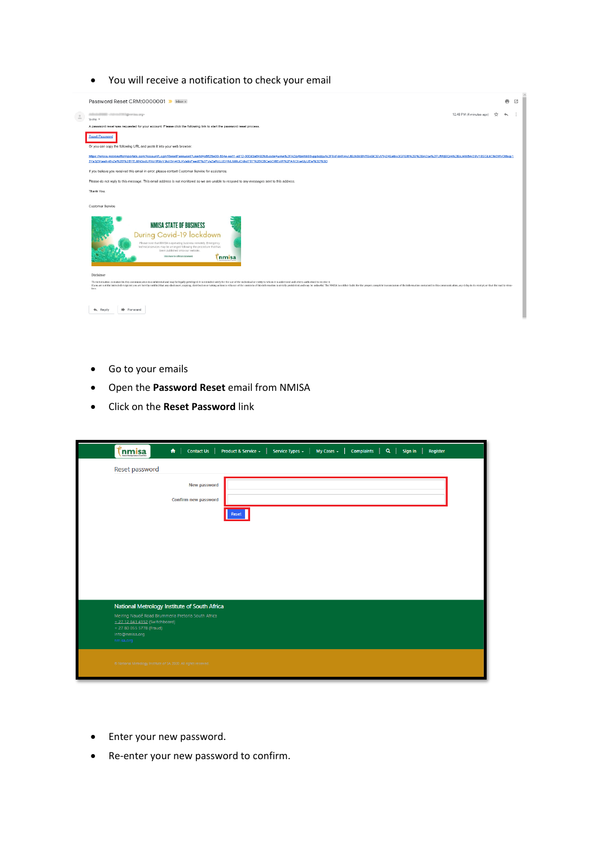#### • You will receive a notification to check your email



- Go to your emails
- Open the **Password Reset** email from NMISA
- Click on the **Reset Password** link

|           | <b>inmisa</b>                                                                                      |  | $\bigcap$ $\bigcap$ Contact Us $\big $      | Product & Service ~ | Service Types $\star$ | My Cases $\sim$ | Complaints   Q   Sign in |  | Register |  |
|-----------|----------------------------------------------------------------------------------------------------|--|---------------------------------------------|---------------------|-----------------------|-----------------|--------------------------|--|----------|--|
|           | Reset password                                                                                     |  |                                             |                     |                       |                 |                          |  |          |  |
|           |                                                                                                    |  | <b>New password</b><br>Confirm new password |                     |                       |                 |                          |  |          |  |
|           |                                                                                                    |  |                                             | Reset               |                       |                 |                          |  |          |  |
|           |                                                                                                    |  |                                             |                     |                       |                 |                          |  |          |  |
|           |                                                                                                    |  |                                             |                     |                       |                 |                          |  |          |  |
|           |                                                                                                    |  |                                             |                     |                       |                 |                          |  |          |  |
|           | National Metrology Institute of South Africa<br>Meiring Naudé Road Brummeria Pretoria South Africa |  |                                             |                     |                       |                 |                          |  |          |  |
| nmisa.org | + 27 12 841 4152 (Switchboard)<br>+ 27 80 055 5778 (Fraud)<br>info@nmisa.org                       |  |                                             |                     |                       |                 |                          |  |          |  |
|           | © National Metrology Institute of SA 2020. All rights reserved.                                    |  |                                             |                     |                       |                 |                          |  |          |  |

- Enter your new password.
- Re-enter your new password to confirm.